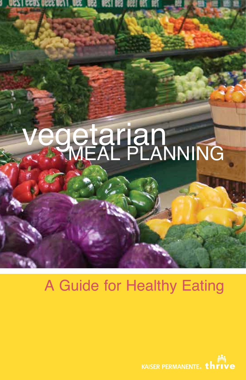

# A Guide for Healthy Eating

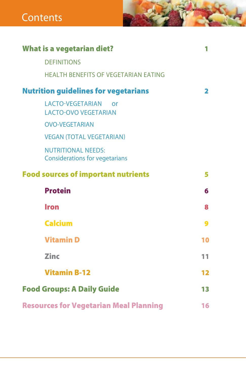| <b>What is a vegetarian diet?</b>                                    | 1  |
|----------------------------------------------------------------------|----|
| <b>DEFINITIONS</b>                                                   |    |
| <b>HEALTH BENEFITS OF VEGETARIAN EATING</b>                          |    |
| <b>Nutrition guidelines for vegetarians</b>                          | 2  |
| <b>LACTO-VEGETARIAN</b><br>$\alpha$ r<br><b>LACTO-OVO VEGETARIAN</b> |    |
| <b>OVO-VEGETARIAN</b>                                                |    |
| <b>VEGAN (TOTAL VEGETARIAN)</b>                                      |    |
| <b>NUTRITIONAL NEEDS:</b><br><b>Considerations for vegetarians</b>   |    |
| <b>Food sources of important nutrients</b>                           | 5  |
| <b>Protein</b>                                                       | 6  |
| <b>Iron</b>                                                          | 8  |
| <b>Calcium</b>                                                       | 9  |
| <b>Vitamin D</b>                                                     | 10 |
| <b>Zinc</b>                                                          | 11 |
| <b>Vitamin B-12</b>                                                  | 12 |
| <b>Food Groups: A Daily Guide</b>                                    | 13 |
| <b>Resources for Vegetarian Meal Planning</b>                        | 16 |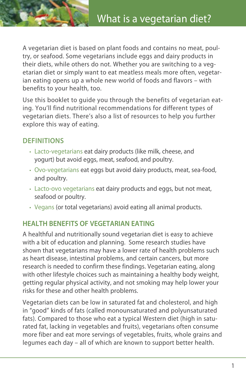A vegetarian diet is based on plant foods and contains no meat, poultry, or seafood. Some vegetarians include eggs and dairy products in their diets, while others do not. Whether you are switching to a vegetarian diet or simply want to eat meatless meals more often, vegetarian eating opens up a whole new world of foods and flavors – with benefits to your health, too.

Use this booklet to guide you through the benefits of vegetarian eating. You'll find nutritional recommendations for different types of vegetarian diets. There's also a list of resources to help you further explore this way of eating.

# **DEFINITIONS**

- Lacto-vegetarians eat dairy products (like milk, cheese, and yogurt) but avoid eggs, meat, seafood, and poultry.
- Ovo-vegetarians eat eggs but avoid dairy products, meat, sea-food, and poultry.
- Lacto-ovo vegetarians eat dairy products and eggs, but not meat, seafood or poultry.
- Vegans (or total vegetarians) avoid eating all animal products.

# **HEALTH BENEFITS OF VEGETARIAN EATING**

A healthful and nutritionally sound vegetarian diet is easy to achieve with a bit of education and planning. Some research studies have shown that vegetarians may have a lower rate of health problems such as heart disease, intestinal problems, and certain cancers, but more research is needed to confirm these findings. Vegetarian eating, along with other lifestyle choices such as maintaining a healthy body weight, getting regular physical activity, and not smoking may help lower your risks for these and other health problems.

Vegetarian diets can be low in saturated fat and cholesterol, and high in "good" kinds of fats (called monounsaturated and polyunsaturated fats). Compared to those who eat a typical Western diet (high in saturated fat, lacking in vegetables and fruits), vegetarians often consume more fiber and eat more servings of vegetables, fruits, whole grains and legumes each day – all of which are known to support better health.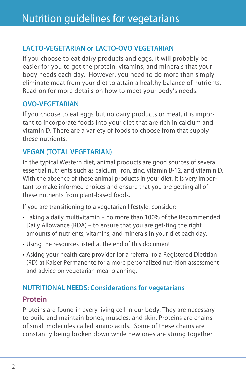# **LACTO-VEGETARIAN or LACTO-OVO VEGETARIAN**

If you choose to eat dairy products and eggs, it will probably be easier for you to get the protein, vitamins, and minerals that your body needs each day. However, you need to do more than simply eliminate meat from your diet to attain a healthy balance of nutrients. Read on for more details on how to meet your body's needs.

#### **OVO-VEGETARIAN**

If you choose to eat eggs but no dairy products or meat, it is important to incorporate foods into your diet that are rich in calcium and vitamin D. There are a variety of foods to choose from that supply these nutrients.

#### **VEGAN (TOTAL VEGETARIAN)**

In the typical Western diet, animal products are good sources of several essential nutrients such as calcium, iron, zinc, vitamin B-12, and vitamin D. With the absence of these animal products in your diet, it is very important to make informed choices and ensure that you are getting all of these nutrients from plant-based foods.

If you are transitioning to a vegetarian lifestyle, consider:

- Taking a daily multivitamin no more than 100% of the Recommended Daily Allowance (RDA) – to ensure that you are get-ting the right amounts of nutrients, vitamins, and minerals in your diet each day.
- Using the resources listed at the end of this document.
- Asking your health care provider for a referral to a Registered Dietitian (RD) at Kaiser Permanente for a more personalized nutrition assessment and advice on vegetarian meal planning.

### **NUTRITIONAL NEEDS: Considerations for vegetarians**

### **Protein**

Proteins are found in every living cell in our body. They are necessary to build and maintain bones, muscles, and skin. Proteins are chains of small molecules called amino acids. Some of these chains are constantly being broken down while new ones are strung together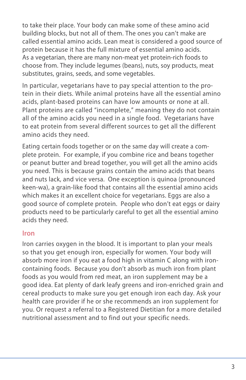to take their place. Your body can make some of these amino acid building blocks, but not all of them. The ones you can't make are called essential amino acids. Lean meat is considered a good source of protein because it has the full mixture of essential amino acids. As a vegetarian, there are many non-meat yet protein-rich foods to choose from. They include legumes (beans), nuts, soy products, meat substitutes, grains, seeds, and some vegetables.

In particular, vegetarians have to pay special attention to the protein in their diets. While animal proteins have all the essential amino acids, plant-based proteins can have low amounts or none at all. Plant proteins are called "incomplete," meaning they do not contain all of the amino acids you need in a single food. Vegetarians have to eat protein from several different sources to get all the different amino acids they need.

Eating certain foods together or on the same day will create a complete protein. For example, if you combine rice and beans together or peanut butter and bread together, you will get all the amino acids you need. This is because grains contain the amino acids that beans and nuts lack, and vice versa. One exception is quinoa (pronounced keen-wa), a grain-like food that contains all the essential amino acids which makes it an excellent choice for vegetarians. Eggs are also a good source of complete protein. People who don't eat eggs or dairy products need to be particularly careful to get all the essential amino acids they need.

#### **Iron**

Iron carries oxygen in the blood. It is important to plan your meals so that you get enough iron, especially for women. Your body will absorb more iron if you eat a food high in vitamin C along with ironcontaining foods. Because you don't absorb as much iron from plant foods as you would from red meat, an iron supplement may be a good idea. Eat plenty of dark leafy greens and iron-enriched grain and cereal products to make sure you get enough iron each day. Ask your health care provider if he or she recommends an iron supplement for you. Or request a referral to a Registered Dietitian for a more detailed nutritional assessment and to find out your specific needs.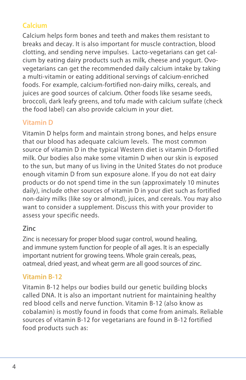# **Calcium**

Calcium helps form bones and teeth and makes them resistant to breaks and decay. It is also important for muscle contraction, blood clotting, and sending nerve impulses. Lacto-vegetarians can get calcium by eating dairy products such as milk, cheese and yogurt. Ovovegetarians can get the recommended daily calcium intake by taking a multi-vitamin or eating additional servings of calcium-enriched foods. For example, calcium-fortified non-dairy milks, cereals, and juices are good sources of calcium. Other foods like sesame seeds, broccoli, dark leafy greens, and tofu made with calcium sulfate (check the food label) can also provide calcium in your diet.

## **Vitamin D**

Vitamin D helps form and maintain strong bones, and helps ensure that our blood has adequate calcium levels. The most common source of vitamin D in the typical Western diet is vitamin D-fortified milk. Our bodies also make some vitamin D when our skin is exposed to the sun, but many of us living in the United States do not produce enough vitamin D from sun exposure alone. If you do not eat dairy products or do not spend time in the sun (approximately 10 minutes daily), include other sources of vitamin D in your diet such as fortified non-dairy milks (like soy or almond), juices, and cereals. You may also want to consider a supplement. Discuss this with your provider to assess your specific needs.

#### **Zinc**

Zinc is necessary for proper blood sugar control, wound healing, and immune system function for people of all ages. It is an especially important nutrient for growing teens. Whole grain cereals, peas, oatmeal, dried yeast, and wheat germ are all good sources of zinc.

### **Vitamin B-12**

Vitamin B-12 helps our bodies build our genetic building blocks called DNA. It is also an important nutrient for maintaining healthy red blood cells and nerve function. Vitamin B-12 (also know as cobalamin) is mostly found in foods that come from animals. Reliable sources of vitamin B-12 for vegetarians are found in B-12 fortified food products such as: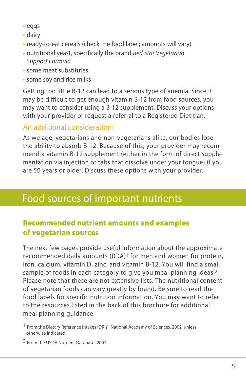- • eggs
- dairy
- ready-to-eat cereals (check the food label; amounts will vary)
- • nutritional yeast, specifically the brand *Red Star Vegetarian Support Formula*
- some meat substitutes
- some sov and rice milks

Getting too little B-12 can lead to a serious type of anemia. Since it may be difficult to get enough vitamin B-12 from food sources, you may want to consider using a B-12 supplement. Discuss your options with your provider or request a referral to a Registered Dietitian.

# An additional consideration:

As we age, vegetarians and non-vegetarians alike, our bodies lose the ability to absorb B-12. Because of this, your provider may recommend a vitamin B-12 supplement (either in the form of direct supplementation via injection or tabs that dissolve under your tongue) if you are 50 years or older. Discuss these options with your provider.

# Food sources of important nutrients

# Recommended nutrient amounts and examples of vegetarian sources

The next few pages provide useful information about the approximate recommended daily amounts (RDA)<sup>1</sup> for men and women for protein, iron, calcium, vitamin D, zinc, and vitamin B-12. You will find a small sample of foods in each category to give you meal planning ideas.<sup>2</sup> Please note that these are not extensive lists. The nutritional content of vegetarian foods can vary greatly by brand. Be sure to read the food labels for specific nutrition information. You may want to refer to the resources listed in the back of this brochure for additional meal planning guidance.

2 From the USDA Nutrient Database, 2007.

<sup>&</sup>lt;sup>1</sup> From the Dietary Reference Intakes (DRIs), National Academy of Sciences, 2002, unless otherwise indicated.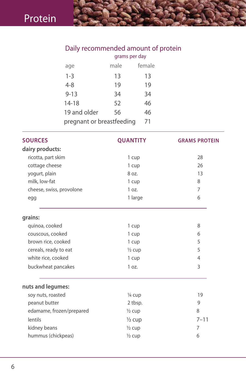# Daily recommended amount of protein

|                           | grams per day |        |
|---------------------------|---------------|--------|
| age                       | male          | female |
| $1 - 3$                   | 13            | 13     |
| $4 - 8$                   | 19            | 19     |
| $9 - 13$                  | 34            | 34     |
| 14-18                     | 52            | 46     |
| 19 and older              | 56            | 46     |
| pregnant or breastfeeding |               | 71     |

| <b>SOURCES</b>           | <b>QUANTITY</b>   | <b>GRAMS PROTEIN</b> |
|--------------------------|-------------------|----------------------|
| dairy products:          |                   |                      |
| ricotta, part skim       | 1 cup             | 28                   |
| cottage cheese           | 1 cup             | 26                   |
| yogurt, plain            | 8 oz.             | 13                   |
| milk, low-fat            | 1 cup             | 8                    |
| cheese, swiss, provolone | 1 oz.             | $\overline{7}$       |
| egg                      | 1 large           | 6                    |
| grains:                  |                   |                      |
| quinoa, cooked           | 1 cup             | 8                    |
| couscous, cooked         | 1 cup             | 6                    |
| brown rice, cooked       | 1 cup             | 5                    |
| cereals, ready to eat    | $\frac{1}{2}$ cup | 5                    |
| white rice, cooked       | 1 cup             | $\overline{4}$       |
| buckwheat pancakes       | 1 oz.             | 3                    |
| nuts and legumes:        |                   |                      |
| soy nuts, roasted        | 1/4 cup           | 19                   |
| peanut butter            | 2 tbsp.           | 9                    |
| edamame, frozen/prepared | $\frac{1}{2}$ cup | 8                    |
| lentils                  | $\frac{1}{2}$ cup | $7 - 11$             |
| kidney beans             | $\frac{1}{2}$ cup | 7                    |
| hummus (chickpeas)       | $\frac{1}{2}$ cup | 6                    |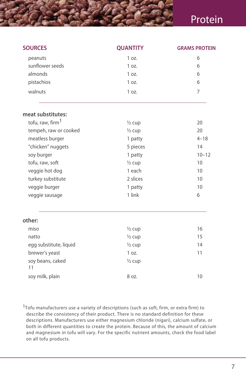# Protein

| <b>SOURCES</b>               | <b>QUANTITY</b>   | <b>GRAMS PROTEIN</b> |
|------------------------------|-------------------|----------------------|
| peanuts                      | 1 oz.             | 6                    |
| sunflower seeds              | 1 oz.             | 6                    |
| almonds                      | 1 oz.             | 6                    |
| pistachios                   | 1 oz.             | 6                    |
| walnuts                      | 1 oz.             | 7                    |
| meat substitutes:            |                   |                      |
| tofu, raw, firm <sup>1</sup> | $\frac{1}{2}$ cup | 20                   |
| tempeh, raw or cooked        | $\frac{1}{2}$ cup | 20                   |
| meatless burger              | 1 patty           | $4 - 18$             |
| "chicken" nuggets            | 5 pieces          | 14                   |
| soy burger                   | 1 patty           | $10 - 12$            |
| tofu, raw, soft              | $\frac{1}{2}$ cup | 10                   |
| veggie hot dog               | 1 each            | 10                   |
| turkey substitute            | 2 slices          | 10                   |
| veggie burger                | 1 patty           | 10                   |
| veggie sausage               | 1 link            | 6                    |
| other:                       |                   |                      |
| miso                         | $\frac{1}{2}$ cup | 16                   |
| natto                        | $\frac{1}{2}$ cup | 15                   |
| egg substitute, liquid       | $\frac{1}{2}$ cup | 14                   |
| brewer's yeast               | 1 oz.             | 11                   |
| soy beans, caked<br>11       | $\frac{1}{2}$ cup |                      |
| soy milk, plain              | 8 oz.             | 10                   |

<sup>1</sup>Tofu manufacturers use a variety of descriptions (such as soft, firm, or extra firm) to describe the consistency of their product. There is no standard definition for these descriptions. Manufacturers use either magnesium chloride (nigari), calcium sulfate, or both in different quantities to create the protein. Because of this, the amount of calcium and magnesium in tofu will vary. For the specific nutrient amounts, check the food label on all tofu products.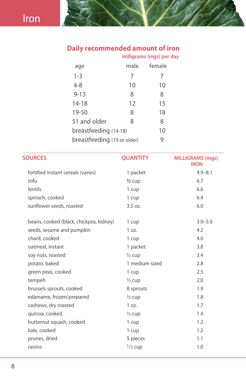#### **Daily recommended amount of iron**

|                             |      | milligrams (mgs) per day |
|-----------------------------|------|--------------------------|
| age                         | male | female                   |
| $1 - 3$                     | 7    |                          |
| $4 - 8$                     | 10   | 10                       |
| $9 - 13$                    | 8    | 8                        |
| $14 - 18$                   | 12   | 15                       |
| 19-50                       | 8    | 18                       |
| 51 and older                | 8    | 8                        |
| breastfeeding (14-18)       |      | 10                       |
| breastfeeding (19 or older) |      | 9                        |

| <b>SOURCES</b>                          | <b>QUANTITY</b>   | <b>MILLIGRAMS (mgs)</b><br><b>IRON</b> |
|-----------------------------------------|-------------------|----------------------------------------|
| fortified instant cereals (varies)      | 1 packet          | $4.9 - 8.1$                            |
| tofu                                    | $\frac{1}{2}$ cup | 6.7                                    |
| lentils                                 | 1 cup             | 6.6                                    |
| spinach, cooked                         | 1 cup             | 6.4                                    |
| sunflower seeds, roasted                | 3.5 oz.           | 6.0                                    |
| beans, cooked (black, chickpea, kidney) | 1 cup             | $3.0 - 5.0$                            |
| seeds, sesame and pumpkin               | 1 oz.             | 4.2                                    |
| chard, cooked                           | 1 cup             | 4.0                                    |
| oatmeal, instant                        | 1 packet          | 3.8                                    |
| soy nuts, roasted                       | $\frac{1}{2}$ cup | 3.4                                    |
| potato, baked                           | 1 medium sized    | 2.8                                    |
| green peas, cooked                      | 1 cup             | 2.5                                    |
| tempeh                                  | $\frac{1}{2}$ cup | 2.0                                    |
| brussels sprouts, cooked                | 8 sprouts         | 1.9                                    |
| edamame, frozen/prepared                | $\frac{1}{2}$ cup | 1.8                                    |
| cashews, dry roasted                    | 1 oz.             | 1.7                                    |
| quinoa, cooked                          | $\frac{1}{2}$ cup | 1.4                                    |
| butternut squash, cooked                | 1 cup             | 1.2                                    |
| kale, cooked                            | 1 cup             | 1.2                                    |
| prunes, dried                           | 5 pieces          | 1.1                                    |
| raisins                                 | $1/3$ cup         | 1.0                                    |
|                                         |                   |                                        |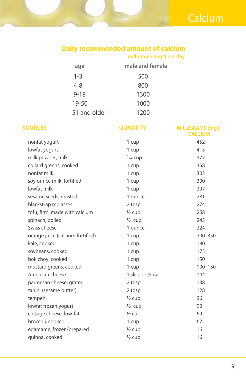# **Daily recommended amount of calcium**

**milligrams (mgs) per day**

| age          | male and female |
|--------------|-----------------|
| $1 - 3$      | 500             |
| 4-8          | 800             |
| $9 - 18$     | 1300            |
| 19-50        | 1000            |
| 51 and older | 1200            |

| <b>SOURCES</b>                   | <b>QUANTITY</b>   | <b>MILLIGRAMS (mgs)</b><br><b>CALCIUM</b> |
|----------------------------------|-------------------|-------------------------------------------|
| nonfat yogurt                    | 1 cup             | 452                                       |
| lowfat yogurt                    | 1 cup             | 415                                       |
| milk powder, milk                | $1/4$ Cup         | 377                                       |
| collard greens, cooked           | 1 cup             | 358                                       |
| nonfat milk                      | 1 cup             | 302                                       |
| soy or rice milk, fortified      | 1 cup             | 300                                       |
| lowfat milk                      | 1 cup             | 297                                       |
| sesame seeds, roasted            | 1 ounce           | 281                                       |
| blackstrap molasses              | 2 tbsp            | 274                                       |
| tofu, firm, made with calcium    | $\frac{1}{2}$ cup | 258                                       |
| spinach, boiled                  | $\frac{1}{2}$ cup | 245                                       |
| Swiss cheese                     | 1 ounce           | 224                                       |
| orange juice (calcium fortified) | 1 cup             | 200-350                                   |
| kale, cooked                     | 1 cup             | 180                                       |
| soybeans, cooked                 | 1 cup             | 175                                       |
| bok choy, cooked                 | 1 cup             | 150                                       |
| mustard greens, cooked           | 1 cup             | $100 - 150$                               |
| American cheese                  | 1 slice or 3/4 oz | 144                                       |
| parmesan cheese, grated          | 2 tbsp            | 138                                       |
| tahini (sesame butter)           | 2 tbsp            | 128                                       |
| tempeh                           | $\frac{1}{2}$ cup | 96                                        |
| lowfat frozen yogurt             | $\frac{1}{2}$ cup | 90                                        |
| cottage cheese, low-fat          | $\frac{1}{2}$ cup | 69                                        |
| broccoli, cooked                 | 1 cup             | 62                                        |
| edamame, frozen/prepared         | $\frac{1}{2}$ cup | 16                                        |
| quinoa, cooked                   | $\frac{1}{2}$ cup | 16                                        |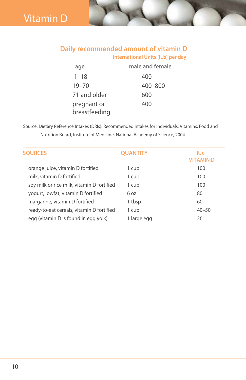# Vitamin D

#### **Daily recommended amount of vitamin D International Units (IUs) per day**

| age                          | male and female |
|------------------------------|-----------------|
| $1 - 18$                     | 400             |
| $19 - 70$                    | 400-800         |
| 71 and older                 | 600             |
| pregnant or<br>breastfeeding | 400             |

Source: Dietary Reference Intakes (DRIs): Recommended Intakes for Individuals, Vitamins, Food and Nutrition Board, Institute of Medicine, National Academy of Science, 2004.

| <b>SOURCES</b>                             | <b>QUANTITY</b> | IUs<br>VITAMIN D |
|--------------------------------------------|-----------------|------------------|
| orange juice, vitamin D fortified          | 1 cup           | 100              |
| milk, vitamin D fortified                  | 1 cup           | 100              |
| soy milk or rice milk, vitamin D fortified | 1 cup           | 100              |
| yogurt, lowfat, vitamin D fortified        | 6 oz            | 80               |
| margarine, vitamin D fortified             | 1 tbsp          | 60               |
| ready-to-eat cereals, vitamin D fortified  | 1 cup           | $40 - 50$        |
| egg (vitamin D is found in egg yolk)       | 1 large egg     | 26               |
|                                            |                 |                  |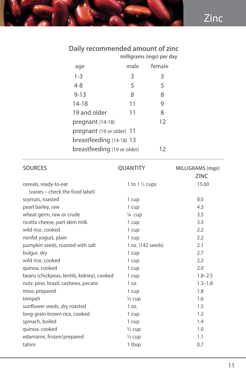#### **Daily recommended amount of zinc**

|                             |      | milligrams (mgs) per day |
|-----------------------------|------|--------------------------|
| age                         | male | female                   |
| $1 - 3$                     | 3    | 3                        |
| $4 - 8$                     | 5    | 5                        |
| $9 - 13$                    | 8    | 8                        |
| 14-18                       | 11   | 9                        |
| 19 and older                | 11   | 8                        |
| pregnant (14-18)            |      | 12                       |
| pregnant (19 or older) 11   |      |                          |
| breastfeeding (14-18) 13    |      |                          |
| breastfeeding (19 or older) |      | 12                       |
|                             |      |                          |

| <b>SOURCES</b>                             | <b>QUANTITY</b>          | <b>MILLIGRAMS</b> (mgs)<br><b>ZINC</b> |
|--------------------------------------------|--------------------------|----------------------------------------|
| cereals, ready-to-eat                      | 1 to $1\frac{1}{3}$ cups | 15.00                                  |
| (varies – check the food label)            |                          |                                        |
| soynuts, roasted                           | 1 cup                    | 8.0                                    |
| pearl barley, raw                          | 1 cup                    | 4.3                                    |
| wheat germ, raw or crude                   | 1/4 cup                  | 3.5                                    |
| ricotta cheese, part skim milk             | 1 cup                    | 3.3                                    |
| wild rice, cooked                          | 1 cup                    | 2.2                                    |
| nonfat yogurt, plain                       | 1 cup                    | 2.2                                    |
| pumpkin seeds, roasted with salt           | 1 oz. (142 seeds)        | 2.1                                    |
| bulgur, dry                                | 1 cup                    | 2.7                                    |
| wild rice, cooked                          | 1 cup                    | 2.2                                    |
| quinoa, cooked                             | 1 cup                    | 2.0                                    |
| beans (chickpeas, lentils, kidney), cooked | 1 cup                    | $1.8 - 2.5$                            |
| nuts: pine, brazil, cashews, pecans        | 1 oz.                    | $1.3 - 1.8$                            |
| miso, prepared                             | 1 cup                    | 1.8                                    |
| tempeh                                     | $\frac{1}{2}$ cup        | 1.6                                    |
| sunflower seeds, dry roasted               | 1 oz.                    | 1.5                                    |
| long-grain brown rice, cooked              | 1 cup                    | 1.2                                    |
| spinach, boiled                            | 1 cup                    | 1.4                                    |
| quinoa, cooked                             | $\frac{1}{2}$ cup        | 1.0                                    |
| edamame, frozen/prepared                   | $\frac{1}{2}$ cup        | 1.1                                    |
| tahini                                     | 1 tbsp                   | 0.7                                    |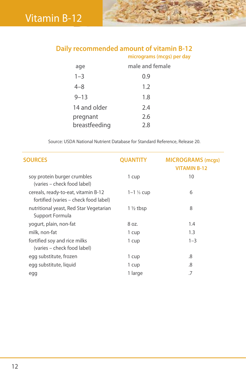# **Daily recommended amount of vitamin B-12**

|                           | micrograms (mcgs) per day |
|---------------------------|---------------------------|
| age                       | male and female           |
| $1 - 3$                   | 0.9                       |
| $4 - 8$                   | 1.2                       |
| $9 - 13$                  | 1.8                       |
| 14 and older              | 2.4                       |
| pregnant<br>breastfeeding | 2.6<br>2.8                |
|                           |                           |

Source: USDA National Nutrient Database for Standard Reference, Release 20.

| <b>SOURCES</b>                                                               | <b>QUANTITY</b>         | <b>MICROGRAMS</b> (mcgs)<br><b>VITAMIN B-12</b> |
|------------------------------------------------------------------------------|-------------------------|-------------------------------------------------|
| soy protein burger crumbles<br>(varies – check food label)                   | 1 cup                   | 10                                              |
| cereals, ready-to-eat, vitamin B-12<br>fortified (varies – check food label) | $1 - 1 \frac{1}{3}$ cup | 6                                               |
| nutritional yeast, Red Star Vegetarian<br>Support Formula                    | $1\frac{1}{2}$ tbsp     | 8                                               |
| yogurt, plain, non-fat                                                       | 8 oz.                   | 1.4                                             |
| milk, non-fat                                                                | 1 cup                   | 1.3                                             |
| fortified soy and rice milks<br>(varies – check food label)                  | 1 cup                   | $1 - 3$                                         |
| egg substitute, frozen                                                       | 1 cup                   | .8                                              |
| egg substitute, liquid                                                       | 1 cup                   | .8                                              |
| egg                                                                          | 1 large                 | .7                                              |
|                                                                              |                         |                                                 |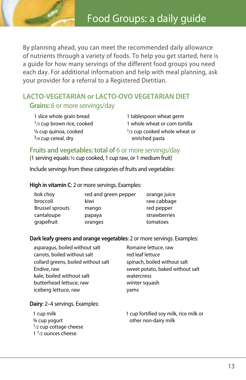

By planning ahead, you can meet the recommended daily allowance of nutrients through a variety of foods. To help you get started, here is a guide for how many servings of the different food groups you need each day. For additional information and help with meal planning, ask your provider for a referral to a Registered Dietitian.

### **LACTO-VEGETARIAN or LACTO-OVO VEGETARIAN DIET Grains:** 6 or more servings/day

1 slice whole grain bread 1 tablespoon wheat germ ¼ cup quinoa, cooked  $3/4$  cup cereal, dry

 $1/3$  cup brown rice, cooked  $1$  whole wheat or corn tortilla  $1/3$  cup cooked whole wheat or enriched pasta

**Fruits and vegetables: total of 6 or more servings/day** 

(1 serving equals: ½ cup cooked, 1 cup raw, or 1 medium fruit)

Include servings from these categories of fruits and vegetables:

#### **High in vitamin C**: 2 or more servings. Examples:

| bok choy               | red and green pepper | orange juice |
|------------------------|----------------------|--------------|
| broccoli               | kiwi                 | raw cabbage  |
| <b>Brussel sprouts</b> | mango                | red pepper   |
| cantaloupe             | papaya               | strawberries |
| grapefruit             | oranges              | tomatoes     |

#### **Dark leafy greens and orange vegetables**: 2 or more servings. Examples:

| Romaine lettuce, raw             |
|----------------------------------|
| red leaf lettuce                 |
| spinach, boiled without salt     |
| sweet potato, baked without salt |
| watercress                       |
| winter squash                    |
| yams                             |
|                                  |

#### **Dairy**: 2–4 servings. Examples:

| 1 cup milk                    | 1 cup fortified soy milk, rice milk or |
|-------------------------------|----------------------------------------|
| ¾ cup yogurt                  | other non-dairy milk                   |
| $1/2$ cup cottage cheese      |                                        |
| 1 $\frac{1}{2}$ ounces cheese |                                        |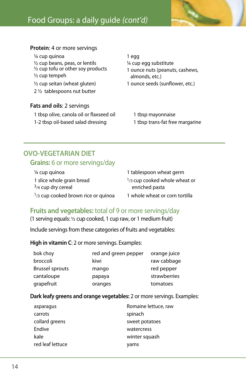

# Food Groups: a daily guide *(cont'd)*

#### **Protein**: 4 or more servings

<sup>1/4</sup> cup quinoa 1 egg  $\frac{1}{2}$  cup beans, peas, or lentils  $\frac{1}{4}$  cup egg substitute ½ cup tofu or other soy products ½ cup tempeh

2 ½ tablespoons nut butter

#### **Fats and oils**: 2 servings

1 tbsp olive, canola oil or flaxseed oil 1 tbsp mayonnaise

1 ounce nuts (peanuts, cashews, almonds, etc.)  $\frac{1}{2}$  cup seitan (wheat gluten) 1 ounce seeds (sunflower, etc.)

1-2 tbsp oil-based salad dressing 1 tbsp trans-fat free margarine

#### **OVO-VEGETARIAN DIET Grains:** 6 or more servings/day

| 1/4 cup quinoa                        |
|---------------------------------------|
| 1 slice whole grain bread             |
| $3/4$ cup dry cereal                  |
| $1/3$ cup cooked brown rice or quinoa |

1 tablespoon wheat germ 1/3 cup cooked whole wheat or enriched pasta 1 whole wheat or corn tortilla

#### **Fruits and vegetables:** total of 9 or more servings/day

(1 serving equals: ½ cup cooked, 1 cup raw, or 1 medium fruit)

Include servings from these categories of fruits and vegetables:

**High in vitamin C**: 2 or more servings. Examples:

| bok choy               | red and green pepper | orange juice |
|------------------------|----------------------|--------------|
| broccoli               | kiwi                 | raw cabbage  |
| <b>Brussel sprouts</b> | mango                | red pepper   |
| cantaloupe             | papaya               | strawberries |
| grapefruit             | oranges              | tomatoes     |

#### **Dark leafy greens and orange vegetables:** 2 or more servings. Examples:

| asparagus        | Romaine lettuce, raw |
|------------------|----------------------|
| carrots          | spinach              |
| collard greens   | sweet potatoes       |
| Endive           | watercress           |
| kale             | winter squash        |
| red leaf lettuce | yams                 |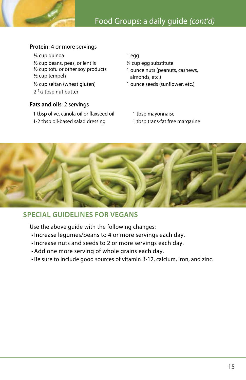

#### **Protein**: 4 or more servings

- <sup>1/4</sup> cup quinoa 1 egg
- <sup>1/2</sup> cup beans, peas, or lentils <sup>1/4</sup> cup egg substitute ½ cup tofu or other soy products
- ½ cup tempeh
- 
- $2<sup>1</sup>/2$  tbsp nut butter

#### **Fats and oils**: 2 servings

- 1 tbsp olive, canola oil or flaxseed oil 1 tbsp mayonnaise
- 1-2 tbsp oil-based salad dressing 1 tbsp trans-fat free margarine

# 1 ounce nuts (peanuts, cashews, almonds, etc.)

- ½ cup seitan (wheat gluten) 1 ounce seeds (sunflower, etc.)
	-



# **SPECIAL GUIDELINES FOR VEGANS**

Use the above guide with the following changes:

- • Increase legumes/beans to 4 or more servings each day.
- • Increase nuts and seeds to 2 or more servings each day.
- • Add one more serving of whole grains each day.
- • Be sure to include good sources of vitamin B-12, calcium, iron, and zinc.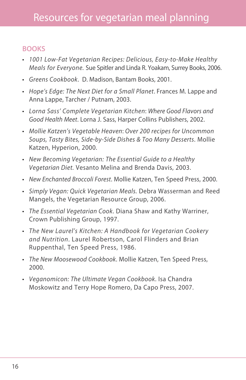#### **BOOKS**

- *1001 Low-Fat Vegetarian Recipes: Delicious, Easy-to-Make Healthy Meals for Everyone.* Sue Spitler and Linda R. Yoakam, Surrey Books, 2006.
- *Greens Cookbook*. D. Madison, Bantam Books, 2001.
- *Hope's Edge: The Next Diet for a Small Planet*. Frances M. Lappe and Anna Lappe, Tarcher / Putnam, 2003.
- *Lorna Sass' Complete Vegetarian Kitchen*: *Where Good Flavors and Good Health Meet*. Lorna J. Sass, Harper Collins Publishers, 2002.
- *Mollie Katzen's Vegetable Heaven*: *Over 200 recipes for Uncommon Soups, Tasty Bites, Side-by-Side Dishes & Too Many Desserts*. Mollie Katzen, Hyperion, 2000.
- *New Becoming Vegetarian: The Essential Guide to a Healthy Vegetarian Diet.* Vesanto Melina and Brenda Davis, 2003.
- *New Enchanted Broccoli Forest*. Mollie Katzen, Ten Speed Press, 2000.
- *Simply Vegan: Quick Vegetarian Meals.* Debra Wasserman and Reed Mangels, the Vegetarian Resource Group, 2006.
- *The Essential Vegetarian Cook*. Diana Shaw and Kathy Warriner, Crown Publishing Group, 1997.
- *The New Laurel's Kitchen: A Handbook for Vegetarian Cookery and Nutrition*. Laurel Robertson, Carol Flinders and Brian Ruppenthal, Ten Speed Press, 1986.
- *The New Moosewood Cookbook*. Mollie Katzen, Ten Speed Press, 2000.
- *Veganomicon: The Ultimate Vegan Cookbook*. Isa Chandra Moskowitz and Terry Hope Romero, Da Capo Press, 2007.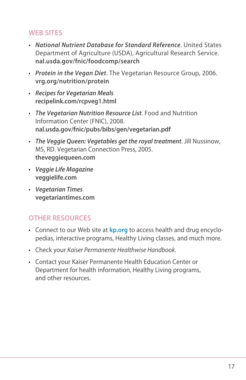# **WEB SITES**

- *National Nutrient Database for Standard Reference*. United States Department of Agriculture (USDA), Agricultural Research Service. **nal.usda.gov/fnic/foodcomp/search**
- *Protein in the Vegan Diet*. The Vegetarian Resource Group, 2006. **vrg.org/nutrition/protein**
- *Recipes for Vegetarian Meals* **recipelink.com/rcpveg1.html**
- *The Vegetarian Nutrition Resource List*. Food and Nutrition Information Center (FNIC), 2008. **nal.usda.gov/fnic/pubs/bibs/gen/vegetarian.pdf**
- *The Veggie Queen: Vegetables get the royal treatment*. Jill Nussinow, MS, RD. Vegetarian Connection Press, 2005. **theveggiequeen.com**
- *Veggie Life Magazine* **veggielife.com**
- *Vegetarian Times* **vegetariantimes.com**

# **OTHER RESOURCES**

- Connect to our Web site at **kp.org** to access health and drug encyclopedias, interactive programs, Healthy Living classes, and much more.
- Check your *Kaiser Permanente Healthwise Handbook*.
- Contact your Kaiser Permanente Health Education Center or Department for health information, Healthy Living programs, and other resources.